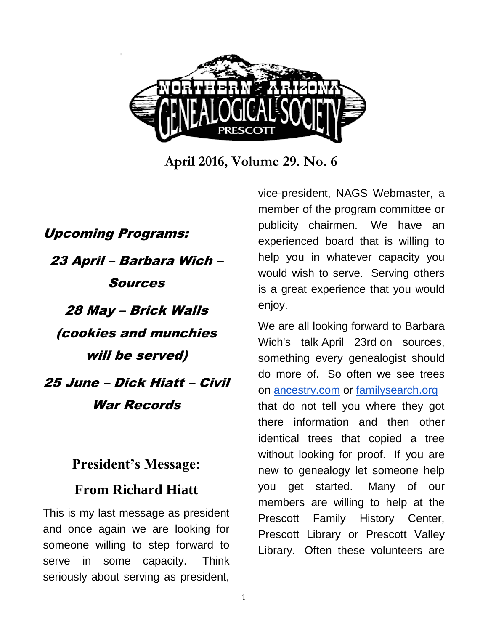

**April 2016, Volume 29. No. 6**

Upcoming Programs: 23 April – Barbara Wich – Sources 28 May – Brick Walls (cookies and munchies will be served) 25 June – Dick Hiatt – Civil War Records

## **President's Message: From Richard Hiatt**

This is my last message as president and once again we are looking for someone willing to step forward to serve in some capacity. Think seriously about serving as president,

vice-president, NAGS Webmaster, a member of the program committee or publicity chairmen. We have an experienced board that is willing to help you in whatever capacity you would wish to serve. Serving others is a great experience that you would enjoy.

We are all looking forward to Barbara Wich's talk April 23rd on sources, something every genealogist should do more of. So often we see trees on [ancestry.com](http://ancestry.com/) or [familysearch.org](http://familysearch.org/) that do not tell you where they got there information and then other identical trees that copied a tree without looking for proof. If you are new to genealogy let someone help you get started. Many of our members are willing to help at the Prescott Family History Center, Prescott Library or Prescott Valley Library. Often these volunteers are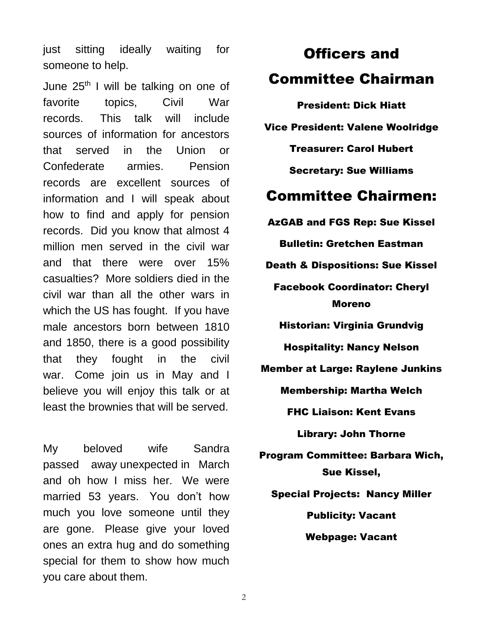just sitting ideally waiting for someone to help.

June 25<sup>th</sup> I will be talking on one of favorite topics, Civil War records. This talk will include sources of information for ancestors that served in the Union or Confederate armies. Pension records are excellent sources of information and I will speak about how to find and apply for pension records. Did you know that almost 4 million men served in the civil war and that there were over 15% casualties? More soldiers died in the civil war than all the other wars in which the US has fought. If you have male ancestors born between 1810 and 1850, there is a good possibility that they fought in the civil war. Come join us in May and I believe you will enjoy this talk or at least the brownies that will be served.

My beloved wife Sandra passed away unexpected in March and oh how I miss her. We were married 53 years. You don't how much you love someone until they are gone. Please give your loved ones an extra hug and do something special for them to show how much you care about them.

## Officers and Committee Chairman

President: Dick Hiatt Vice President: Valene Woolridge Treasurer: Carol Hubert Secretary: Sue Williams Committee Chairmen: AzGAB and FGS Rep: Sue Kissel Bulletin: Gretchen Eastman Death & Dispositions: Sue Kissel Facebook Coordinator: Cheryl Moreno Historian: Virginia Grundvig Hospitality: Nancy Nelson Member at Large: Raylene Junkins Membership: Martha Welch FHC Liaison: Kent Evans Library: John Thorne Program Committee: Barbara Wich, Sue Kissel, Special Projects: Nancy Miller Publicity: Vacant Webpage: Vacant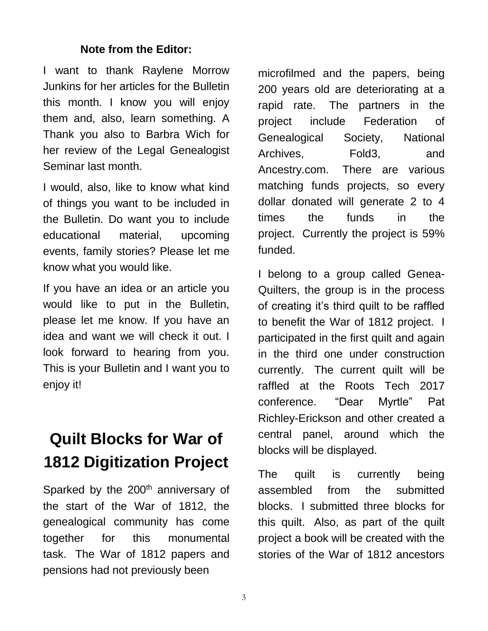#### **Note from the Editor:**

I want to thank Raylene Morrow Junkins for her articles for the Bulletin this month. I know you will enjoy them and, also, learn something. A Thank you also to Barbra Wich for her review of the Legal Genealogist Seminar last month.

I would, also, like to know what kind of things you want to be included in the Bulletin. Do want you to include educational material, upcoming events, family stories? Please let me know what you would like.

If you have an idea or an article you would like to put in the Bulletin, please let me know. If you have an idea and want we will check it out. I look forward to hearing from you. This is your Bulletin and I want you to enjoy it!

## **Quilt Blocks for War of 1812 Digitization Project**

Sparked by the 200<sup>th</sup> anniversary of the start of the War of 1812, the genealogical community has come together for this monumental task. The War of 1812 papers and pensions had not previously been

microfilmed and the papers, being 200 years old are deteriorating at a rapid rate. The partners in the project include Federation of Genealogical Society, National Archives, Fold3, and Ancestry.com. There are various matching funds projects, so every dollar donated will generate 2 to 4 times the funds in the project. Currently the project is 59% funded.

I belong to a group called Genea-Quilters, the group is in the process of creating it's third quilt to be raffled to benefit the War of 1812 project. I participated in the first quilt and again in the third one under construction currently. The current quilt will be raffled at the Roots Tech 2017 conference. "Dear Myrtle" Pat Richley-Erickson and other created a central panel, around which the blocks will be displayed.

The quilt is currently being assembled from the submitted blocks. I submitted three blocks for this quilt. Also, as part of the quilt project a book will be created with the stories of the War of 1812 ancestors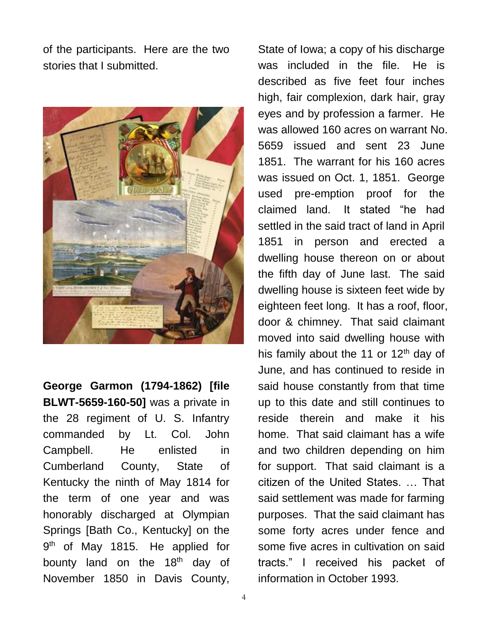of the participants. Here are the two stories that I submitted.



**George Garmon (1794-1862) [file BLWT-5659-160-50]** was a private in the 28 regiment of U. S. Infantry commanded by Lt. Col. John Campbell. He enlisted in Cumberland County, State of Kentucky the ninth of May 1814 for the term of one year and was honorably discharged at Olympian Springs [Bath Co., Kentucky] on the 9<sup>th</sup> of May 1815. He applied for bounty land on the 18<sup>th</sup> day of November 1850 in Davis County,

described as five feet four inches high, fair complexion, dark hair, gray eyes and by profession a farmer. He was allowed 160 acres on warrant No. 5659 issued and sent 23 June 1851. The warrant for his 160 acres was issued on Oct. 1, 1851. George used pre-emption proof for the claimed land. It stated "he had settled in the said tract of land in April 1851 in person and erected a dwelling house thereon on or about the fifth day of June last. The said dwelling house is sixteen feet wide by eighteen feet long. It has a roof, floor, door & chimney. That said claimant moved into said dwelling house with his family about the 11 or  $12<sup>th</sup>$  day of June, and has continued to reside in said house constantly from that time up to this date and still continues to reside therein and make it his home. That said claimant has a wife and two children depending on him for support. That said claimant is a citizen of the United States. … That said settlement was made for farming purposes. That the said claimant has some forty acres under fence and some five acres in cultivation on said tracts." I received his packet of information in October 1993.

State of Iowa; a copy of his discharge was included in the file. He is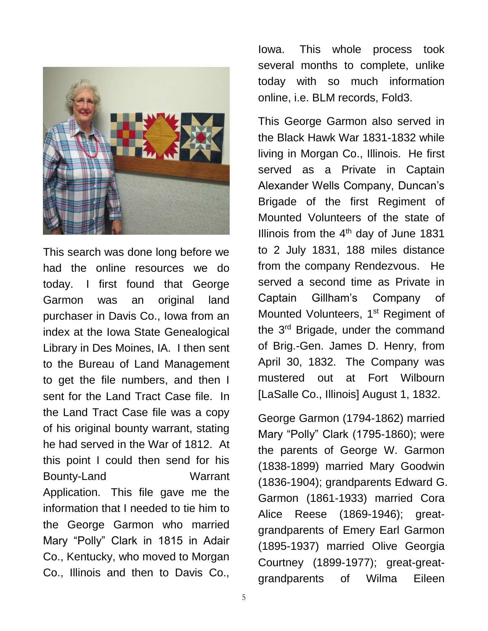

This search was done long before we had the online resources we do today. I first found that George Garmon was an original land purchaser in Davis Co., Iowa from an index at the Iowa State Genealogical Library in Des Moines, IA. I then sent to the Bureau of Land Management to get the file numbers, and then I sent for the Land Tract Case file. In the Land Tract Case file was a copy of his original bounty warrant, stating he had served in the War of 1812. At this point I could then send for his Bounty-Land Warrant Application. This file gave me the information that I needed to tie him to the George Garmon who married Mary "Polly" Clark in 1815 in Adair Co., Kentucky, who moved to Morgan Co., Illinois and then to Davis Co.,

Iowa. This whole process took several months to complete, unlike today with so much information online, i.e. BLM records, Fold3.

This George Garmon also served in the Black Hawk War 1831-1832 while living in Morgan Co., Illinois. He first served as a Private in Captain Alexander Wells Company, Duncan's Brigade of the first Regiment of Mounted Volunteers of the state of Illinois from the  $4<sup>th</sup>$  day of June 1831 to 2 July 1831, 188 miles distance from the company Rendezvous. He served a second time as Private in Captain Gillham's Company of Mounted Volunteers, 1<sup>st</sup> Regiment of the 3rd Brigade, under the command of Brig.-Gen. James D. Henry, from April 30, 1832. The Company was mustered out at Fort Wilbourn [LaSalle Co., Illinois] August 1, 1832.

George Garmon (1794-1862) married Mary "Polly" Clark (1795-1860); were the parents of George W. Garmon (1838-1899) married Mary Goodwin (1836-1904); grandparents Edward G. Garmon (1861-1933) married Cora Alice Reese (1869-1946); greatgrandparents of Emery Earl Garmon (1895-1937) married Olive Georgia Courtney (1899-1977); great-greatgrandparents of Wilma Eileen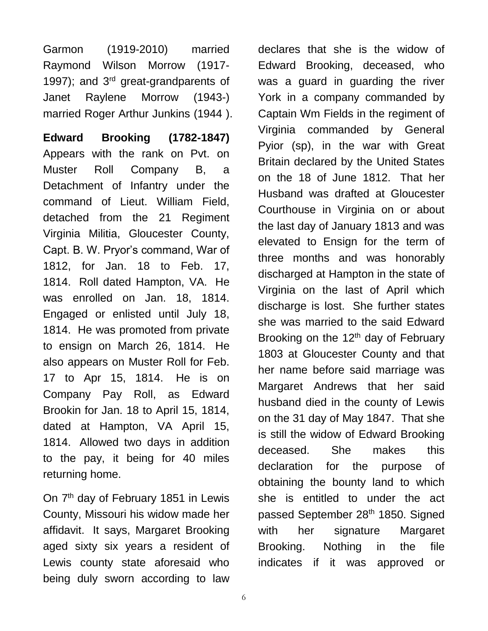Garmon (1919-2010) married Raymond Wilson Morrow (1917- 1997); and 3<sup>rd</sup> great-grandparents of Janet Raylene Morrow (1943-) married Roger Arthur Junkins (1944 ).

**Edward Brooking (1782-1847)**  Appears with the rank on Pvt. on Muster Roll Company B, a Detachment of Infantry under the command of Lieut. William Field, detached from the 21 Regiment Virginia Militia, Gloucester County, Capt. B. W. Pryor's command, War of 1812, for Jan. 18 to Feb. 17, 1814. Roll dated Hampton, VA. He was enrolled on Jan. 18, 1814. Engaged or enlisted until July 18, 1814. He was promoted from private to ensign on March 26, 1814. He also appears on Muster Roll for Feb. 17 to Apr 15, 1814. He is on Company Pay Roll, as Edward Brookin for Jan. 18 to April 15, 1814, dated at Hampton, VA April 15, 1814. Allowed two days in addition to the pay, it being for 40 miles returning home.

On 7<sup>th</sup> day of February 1851 in Lewis County, Missouri his widow made her affidavit. It says, Margaret Brooking aged sixty six years a resident of Lewis county state aforesaid who being duly sworn according to law

declares that she is the widow of Edward Brooking, deceased, who was a guard in guarding the river York in a company commanded by Captain Wm Fields in the regiment of Virginia commanded by General Pyior (sp), in the war with Great Britain declared by the United States on the 18 of June 1812. That her Husband was drafted at Gloucester Courthouse in Virginia on or about the last day of January 1813 and was elevated to Ensign for the term of three months and was honorably discharged at Hampton in the state of Virginia on the last of April which discharge is lost. She further states she was married to the said Edward Brooking on the  $12<sup>th</sup>$  day of February 1803 at Gloucester County and that her name before said marriage was Margaret Andrews that her said husband died in the county of Lewis on the 31 day of May 1847. That she is still the widow of Edward Brooking deceased. She makes this declaration for the purpose of obtaining the bounty land to which she is entitled to under the act passed September 28<sup>th</sup> 1850. Signed with her signature Margaret Brooking. Nothing in the file indicates if it was approved or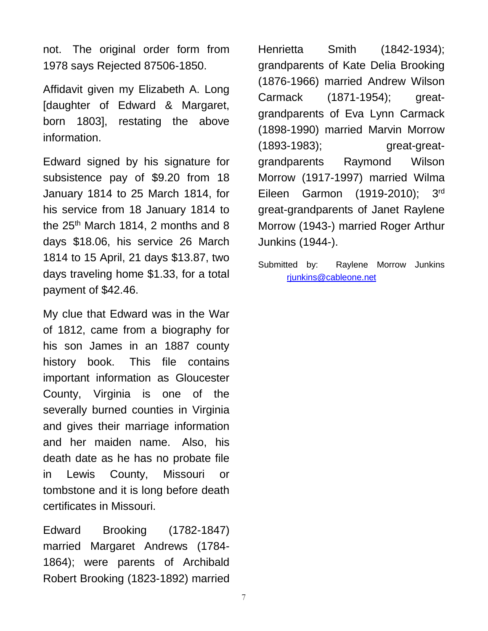not. The original order form from 1978 says Rejected 87506-1850.

Affidavit given my Elizabeth A. Long [daughter of Edward & Margaret, born 1803], restating the above information.

Edward signed by his signature for subsistence pay of \$9.20 from 18 January 1814 to 25 March 1814, for his service from 18 January 1814 to the  $25<sup>th</sup>$  March 1814, 2 months and 8 days \$18.06, his service 26 March 1814 to 15 April, 21 days \$13.87, two days traveling home \$1.33, for a total payment of \$42.46.

My clue that Edward was in the War of 1812, came from a biography for his son James in an 1887 county history book. This file contains important information as Gloucester County, Virginia is one of the severally burned counties in Virginia and gives their marriage information and her maiden name. Also, his death date as he has no probate file in Lewis County, Missouri or tombstone and it is long before death certificates in Missouri.

Edward Brooking (1782-1847) married Margaret Andrews (1784- 1864); were parents of Archibald Robert Brooking (1823-1892) married

Henrietta Smith (1842-1934); grandparents of Kate Delia Brooking (1876-1966) married Andrew Wilson Carmack (1871-1954); greatgrandparents of Eva Lynn Carmack (1898-1990) married Marvin Morrow (1893-1983); great-greatgrandparents Raymond Wilson Morrow (1917-1997) married Wilma Eileen Garmon (1919-2010); 3rd great-grandparents of Janet Raylene Morrow (1943-) married Roger Arthur Junkins (1944-).

Submitted by: Raylene Morrow Junkins [rjunkins@cableone.net](mailto:rjunkins@cableone.net)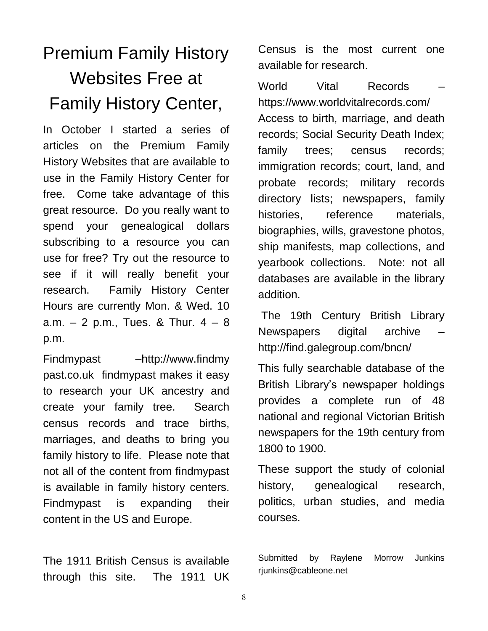# Premium Family History Websites Free at Family History Center,

In October I started a series of articles on the Premium Family History Websites that are available to use in the Family History Center for free. Come take advantage of this great resource. Do you really want to spend your genealogical dollars subscribing to a resource you can use for free? Try out the resource to see if it will really benefit your research. Family History Center Hours are currently Mon. & Wed. 10 a.m.  $-2$  p.m., Tues. & Thur.  $4 - 8$ p.m.

Findmypast –http://www.findmy past.co.uk findmypast makes it easy to research your UK ancestry and create your family tree. Search census records and trace births, marriages, and deaths to bring you family history to life. Please note that not all of the content from findmypast is available in family history centers. Findmypast is expanding their content in the US and Europe.

The 1911 British Census is available through this site. The 1911 UK Census is the most current one available for research.

World Vital Records – https://www.worldvitalrecords.com/ Access to birth, marriage, and death records; Social Security Death Index; family trees; census records; immigration records; court, land, and probate records; military records directory lists; newspapers, family histories, reference materials, biographies, wills, gravestone photos, ship manifests, map collections, and yearbook collections. Note: not all databases are available in the library addition.

The 19th Century British Library Newspapers digital archive – http://find.galegroup.com/bncn/

This fully searchable database of the British Library's newspaper holdings provides a complete run of 48 national and regional Victorian British newspapers for the 19th century from 1800 to 1900.

These support the study of colonial history, genealogical research, politics, urban studies, and media courses.

Submitted by Raylene Morrow Junkins rjunkins@cableone.net